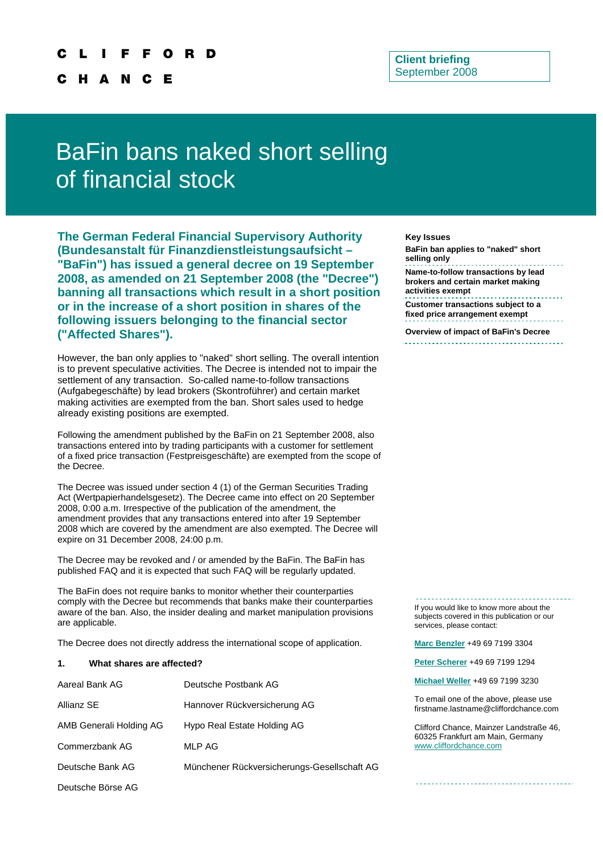**H** A N Е

# **Client briefing**  September 2008

# BaFin bans naked short selling of financial stock

**The German Federal Financial Supervisory Authority (Bundesanstalt für Finanzdienstleistungsaufsicht – "BaFin") has issued a general decree on 19 September 2008, as amended on 21 September 2008 (the "Decree") banning all transactions which result in a short position or in the increase of a short position in shares of the following issuers belonging to the financial sector ("Affected Shares").** 

However, the ban only applies to "naked" short selling. The overall intention is to prevent speculative activities. The Decree is intended not to impair the settlement of any transaction. So-called name-to-follow transactions (Aufgabegeschäfte) by lead brokers (Skontroführer) and certain market making activities are exempted from the ban. Short sales used to hedge already existing positions are exempted.

Following the amendment published by the BaFin on 21 September 2008, also transactions entered into by trading participants with a customer for settlement of a fixed price transaction (Festpreisgeschäfte) are exempted from the scope of the Decree.

The Decree was issued under section 4 (1) of the German Securities Trading Act (Wertpapierhandelsgesetz). The Decree came into effect on 20 September 2008, 0:00 a.m. Irrespective of the publication of the amendment, the amendment provides that any transactions entered into after 19 September 2008 which are covered by the amendment are also exempted. The Decree will expire on 31 December 2008, 24:00 p.m.

The Decree may be revoked and / or amended by the BaFin. The BaFin has published FAQ and it is expected that such FAQ will be regularly updated.

The BaFin does not require banks to monitor whether their counterparties comply with the Decree but recommends that banks make their counterparties aware of the ban. Also, the insider dealing and market manipulation provisions are applicable.

The Decree does not directly address the international scope of application. **[Marc Benzler](mailto:Marc.Benzler@cliffordchance.com)** +49 69 7199 3304

# **1. What shares are affected? [Peter Scherer](mailto:peter.scherer@cliffordchance.com)** +49 69 7199 1294

| Aareal Bank AG          | Deutsche Postbank AG                        |
|-------------------------|---------------------------------------------|
| Allianz SE              | Hannover Rückversicherung AG                |
| AMB Generali Holding AG | Hypo Real Estate Holding AG                 |
| Commerzbank AG          | MLP AG                                      |
| Deutsche Bank AG        | Münchener Rückversicherungs-Gesellschaft AG |
| Deutsche Börse AG       |                                             |

#### **Key Issues**

**BaFin ban applies to "naked" short selling only Name-to-follow transactions by lead brokers and certain market making activities exempt Customer transactions subject to a** 

**fixed price arrangement exempt** 

**Overview of impact of BaFin's Decree** 

If you would like to know more about the subjects covered in this publication or our services, please contact:

**[Michael Weller](mailto:michael.weller@cliffordchance.com)** +49 69 7199 3230

To email one of the above, please use  $first name.$ lastname@cliffordchance.com

Clifford Chance, Mainzer Landstraße 46, 60325 Frankfurt am Main, Germany [www.cliffordchance.com](http://www.cliffordchance.com/)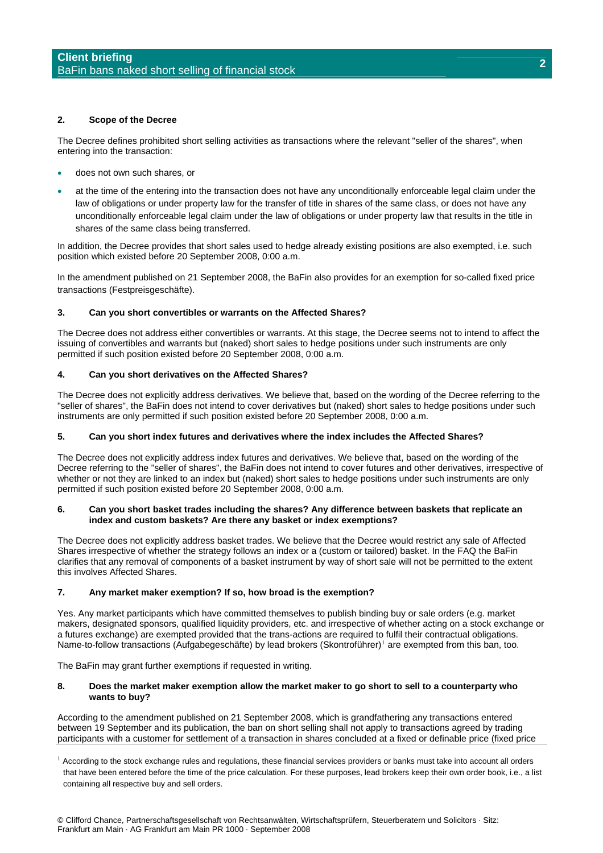# **2. Scope of the Decree**

The Decree defines prohibited short selling activities as transactions where the relevant "seller of the shares", when entering into the transaction:

- does not own such shares, or
- at the time of the entering into the transaction does not have any unconditionally enforceable legal claim under the law of obligations or under property law for the transfer of title in shares of the same class, or does not have any unconditionally enforceable legal claim under the law of obligations or under property law that results in the title in shares of the same class being transferred.

In addition, the Decree provides that short sales used to hedge already existing positions are also exempted, i.e. such position which existed before 20 September 2008, 0:00 a.m.

In the amendment published on 21 September 2008, the BaFin also provides for an exemption for so-called fixed price transactions (Festpreisgeschäfte).

# **3. Can you short convertibles or warrants on the Affected Shares?**

The Decree does not address either convertibles or warrants. At this stage, the Decree seems not to intend to affect the issuing of convertibles and warrants but (naked) short sales to hedge positions under such instruments are only permitted if such position existed before 20 September 2008, 0:00 a.m.

# **4. Can you short derivatives on the Affected Shares?**

The Decree does not explicitly address derivatives. We believe that, based on the wording of the Decree referring to the "seller of shares", the BaFin does not intend to cover derivatives but (naked) short sales to hedge positions under such instruments are only permitted if such position existed before 20 September 2008, 0:00 a.m.

# **5. Can you short index futures and derivatives where the index includes the Affected Shares?**

The Decree does not explicitly address index futures and derivatives. We believe that, based on the wording of the Decree referring to the "seller of shares", the BaFin does not intend to cover futures and other derivatives, irrespective of whether or not they are linked to an index but (naked) short sales to hedge positions under such instruments are only permitted if such position existed before 20 September 2008, 0:00 a.m.

## **6. Can you short basket trades including the shares? Any difference between baskets that replicate an index and custom baskets? Are there any basket or index exemptions?**

The Decree does not explicitly address basket trades. We believe that the Decree would restrict any sale of Affected Shares irrespective of whether the strategy follows an index or a (custom or tailored) basket. In the FAQ the BaFin clarifies that any removal of components of a basket instrument by way of short sale will not be permitted to the extent this involves Affected Shares.

# **7. Any market maker exemption? If so, how broad is the exemption?**

Yes. Any market participants which have committed themselves to publish binding buy or sale orders (e.g. market makers, designated sponsors, qualified liquidity providers, etc. and irrespective of whether acting on a stock exchange or a futures exchange) are exempted provided that the trans-actions are required to fulfil their contractual obligations. Name-to-follow transactions (Aufgabegeschäfte) by lead brokers (Skontroführer)<sup>[1](#page-1-0)</sup> are exempted from this ban, too.

The BaFin may grant further exemptions if requested in writing.

## **8. Does the market maker exemption allow the market maker to go short to sell to a counterparty who wants to buy?**

According to the amendment published on 21 September 2008, which is grandfathering any transactions entered between 19 September and its publication, the ban on short selling shall not apply to transactions agreed by trading participants with a customer for settlement of a transaction in shares concluded at a fixed or definable price (fixed price

<span id="page-1-0"></span> $<sup>1</sup>$  According to the stock exchange rules and regulations, these financial services providers or banks must take into account all orders</sup> that have been entered before the time of the price calculation. For these purposes, lead brokers keep their own order book, i.e., a list containing all respective buy and sell orders.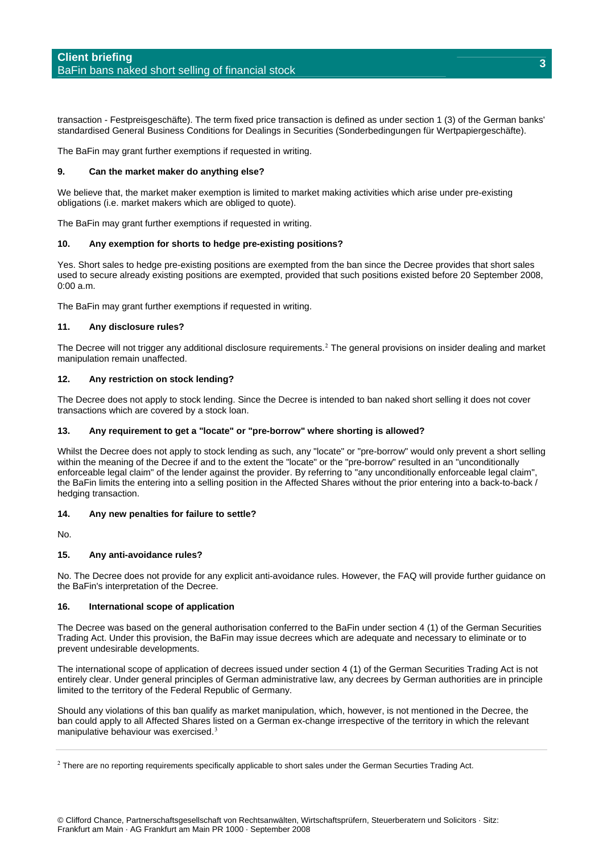transaction - Festpreisgeschäfte). The term fixed price transaction is defined as under section 1 (3) of the German banks' standardised General Business Conditions for Dealings in Securities (Sonderbedingungen für Wertpapiergeschäfte).

The BaFin may grant further exemptions if requested in writing.

## **9. Can the market maker do anything else?**

We believe that, the market maker exemption is limited to market making activities which arise under pre-existing obligations (i.e. market makers which are obliged to quote).

The BaFin may grant further exemptions if requested in writing.

#### **10. Any exemption for shorts to hedge pre-existing positions?**

Yes. Short sales to hedge pre-existing positions are exempted from the ban since the Decree provides that short sales used to secure already existing positions are exempted, provided that such positions existed before 20 September 2008, 0:00 a.m.

The BaFin may grant further exemptions if requested in writing.

#### **11. Any disclosure rules?**

The Decree will not trigger any additional disclosure requirements.<sup>[2](#page-2-0)</sup> The general provisions on insider dealing and market manipulation remain unaffected.

## **12. Any restriction on stock lending?**

The Decree does not apply to stock lending. Since the Decree is intended to ban naked short selling it does not cover transactions which are covered by a stock loan.

# **13. Any requirement to get a "locate" or "pre-borrow" where shorting is allowed?**

Whilst the Decree does not apply to stock lending as such, any "locate" or "pre-borrow" would only prevent a short selling within the meaning of the Decree if and to the extent the "locate" or the "pre-borrow" resulted in an "unconditionally enforceable legal claim" of the lender against the provider. By referring to "any unconditionally enforceable legal claim", the BaFin limits the entering into a selling position in the Affected Shares without the prior entering into a back-to-back / hedging transaction.

## **14. Any new penalties for failure to settle?**

No.

## **15. Any anti-avoidance rules?**

No. The Decree does not provide for any explicit anti-avoidance rules. However, the FAQ will provide further guidance on the BaFin's interpretation of the Decree.

#### **16. International scope of application**

The Decree was based on the general authorisation conferred to the BaFin under section 4 (1) of the German Securities Trading Act. Under this provision, the BaFin may issue decrees which are adequate and necessary to eliminate or to prevent undesirable developments.

The international scope of application of decrees issued under section 4 (1) of the German Securities Trading Act is not entirely clear. Under general principles of German administrative law, any decrees by German authorities are in principle limited to the territory of the Federal Republic of Germany.

Should any violations of this ban qualify as market manipulation, which, however, is not mentioned in the Decree, the ban could apply to all Affected Shares listed on a German ex-change irrespective of the territory in which the relevant manipulative behaviour was exercised.<sup>[3](#page-2-1)</sup>

<span id="page-2-1"></span><span id="page-2-0"></span> $2$  There are no reporting requirements specifically applicable to short sales under the German Securties Trading Act.